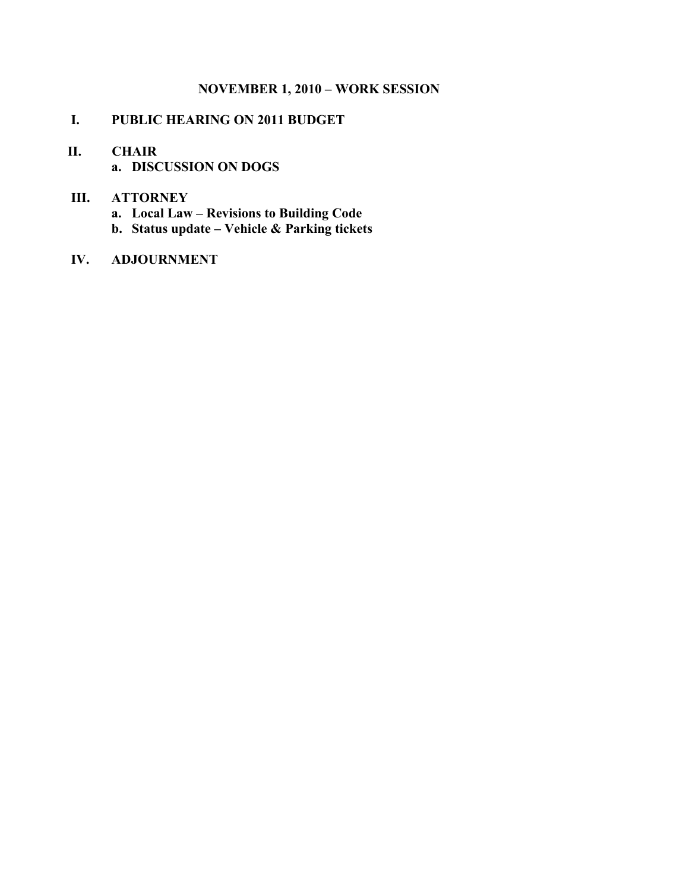### **NOVEMBER 1, 2010 – WORK SESSION**

## **I. PUBLIC HEARING ON 2011 BUDGET**

# **II. CHAIR**

**a. DISCUSSION ON DOGS**

### **III. ATTORNEY**

- **a. Local Law Revisions to Building Code**
- **b. Status update Vehicle & Parking tickets**

### **IV. ADJOURNMENT**